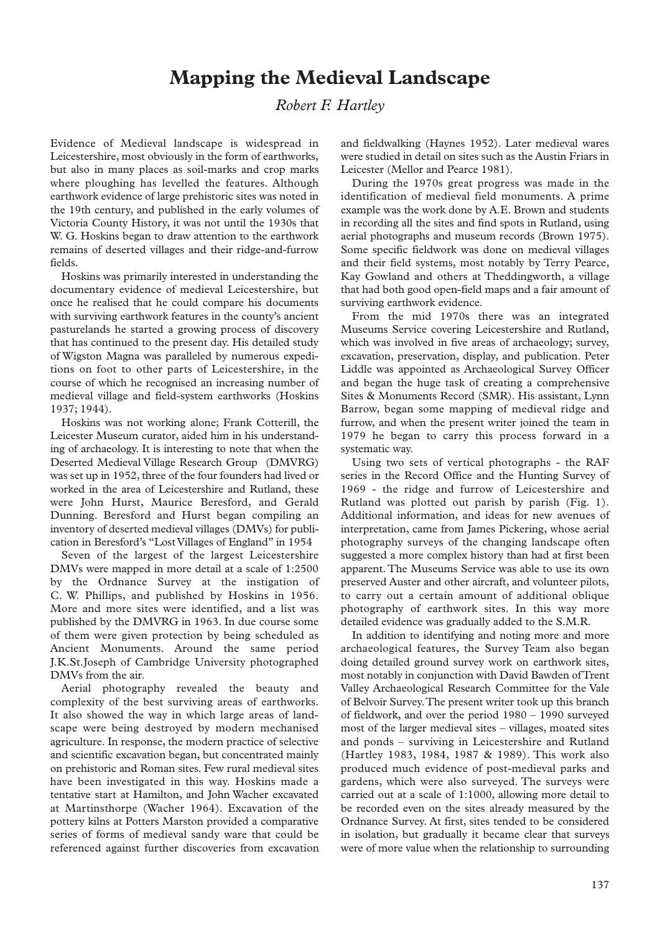## **Mapping the Medieval Landscape**

## *Robert F. Hartley*

Evidence of Medieval landscape is widespread in Leicestershire, most obviously in the form of earthworks, but also in many places as soil-marks and crop marks where ploughing has levelled the features. Although earthwork evidence of large prehistoric sites was noted in the 19th century, and published in the early volumes of Victoria County History, it was not until the 1930s that W. G. Hoskins began to draw attention to the earthwork remains of deserted villages and their ridge-and-furrow fields.

Hoskins was primarily interested in understanding the documentary evidence of medieval Leicestershire, but once he realised that he could compare his documents with surviving earthwork features in the county's ancient pasturelands he started a growing process of discovery that has continued to the present day. His detailed study of Wigston Magna was paralleled by numerous expeditions on foot to other parts of Leicestershire, in the course of which he recognised an increasing number of medieval village and field-system earthworks (Hoskins 1937; 1944).

Hoskins was not working alone; Frank Cotterill, the Leicester Museum curator, aided him in his understanding of archaeology. It is interesting to note that when the Deserted Medieval Village Research Group (DMVRG) was set up in 1952, three of the four founders had lived or worked in the area of Leicestershire and Rutland, these were John Hurst, Maurice Beresford, and Gerald Dunning. Beresford and Hurst began compiling an inventory of deserted medieval villages (DMVs) for publication in Beresford's "Lost Villages of England" in 1954

Seven of the largest of the largest Leicestershire DMVs were mapped in more detail at a scale of 1:2500 by the Ordnance Survey at the instigation of C. W. Phillips, and published by Hoskins in 1956. More and more sites were identified, and a list was published by the DMVRG in 1963. In due course some of them were given protection by being scheduled as Ancient Monuments. Around the same period J.K.St.Joseph of Cambridge University photographed DMVs from the air.

Aerial photography revealed the beauty and complexity of the best surviving areas of earthworks. It also showed the way in which large areas of landscape were being destroyed by modern mechanised agriculture. In response, the modern practice of selective and scientific excavation began, but concentrated mainly on prehistoric and Roman sites. Few rural medieval sites have been investigated in this way. Hoskins made a tentative start at Hamilton, and John Wacher excavated at Martinsthorpe (Wacher 1964). Excavation of the pottery kilns at Potters Marston provided a comparative series of forms of medieval sandy ware that could be referenced against further discoveries from excavation and fieldwalking (Haynes 1952). Later medieval wares were studied in detail on sites such as the Austin Friars in Leicester (Mellor and Pearce 1981).

During the 1970s great progress was made in the identification of medieval field monuments. A prime example was the work done by A.E. Brown and students in recording all the sites and find spots in Rutland, using aerial photographs and museum records (Brown 1975). Some specific fieldwork was done on medieval villages and their field systems, most notably by Terry Pearce, Kay Gowland and others at Theddingworth, a village that had both good open-field maps and a fair amount of surviving earthwork evidence.

From the mid 1970s there was an integrated Museums Service covering Leicestershire and Rutland, which was involved in five areas of archaeology; survey, excavation, preservation, display, and publication. Peter Liddle was appointed as Archaeological Survey Officer and began the huge task of creating a comprehensive Sites & Monuments Record (SMR). His assistant, Lynn Barrow, began some mapping of medieval ridge and furrow, and when the present writer joined the team in 1979 he began to carry this process forward in a systematic way.

Using two sets of vertical photographs - the RAF series in the Record Office and the Hunting Survey of 1969 - the ridge and furrow of Leicestershire and Rutland was plotted out parish by parish (Fig. 1). Additional information, and ideas for new avenues of interpretation, came from James Pickering, whose aerial photography surveys of the changing landscape often suggested a more complex history than had at first been apparent. The Museums Service was able to use its own preserved Auster and other aircraft, and volunteer pilots, to carry out a certain amount of additional oblique photography of earthwork sites. In this way more detailed evidence was gradually added to the S.M.R.

In addition to identifying and noting more and more archaeological features, the Survey Team also began doing detailed ground survey work on earthwork sites, most notably in conjunction with David Bawden of Trent Valley Archaeological Research Committee for the Vale of Belvoir Survey.The present writer took up this branch of fieldwork, and over the period 1980 – 1990 surveyed most of the larger medieval sites – villages, moated sites and ponds – surviving in Leicestershire and Rutland (Hartley 1983, 1984, 1987 & 1989). This work also produced much evidence of post-medieval parks and gardens, which were also surveyed. The surveys were carried out at a scale of 1:1000, allowing more detail to be recorded even on the sites already measured by the Ordnance Survey. At first, sites tended to be considered in isolation, but gradually it became clear that surveys were of more value when the relationship to surrounding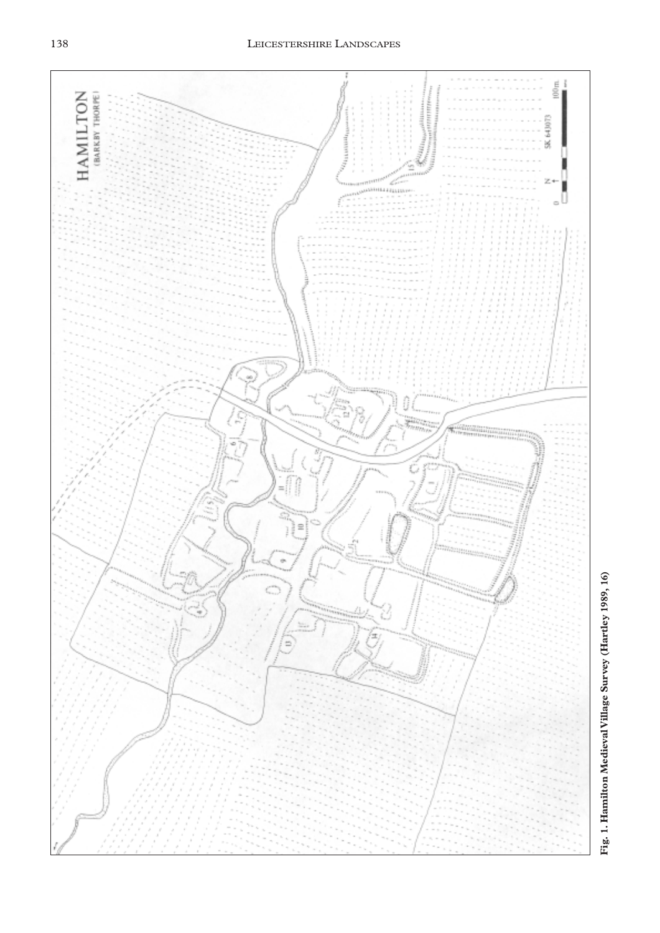138 LEICESTERSHIRE LANDSCAPES

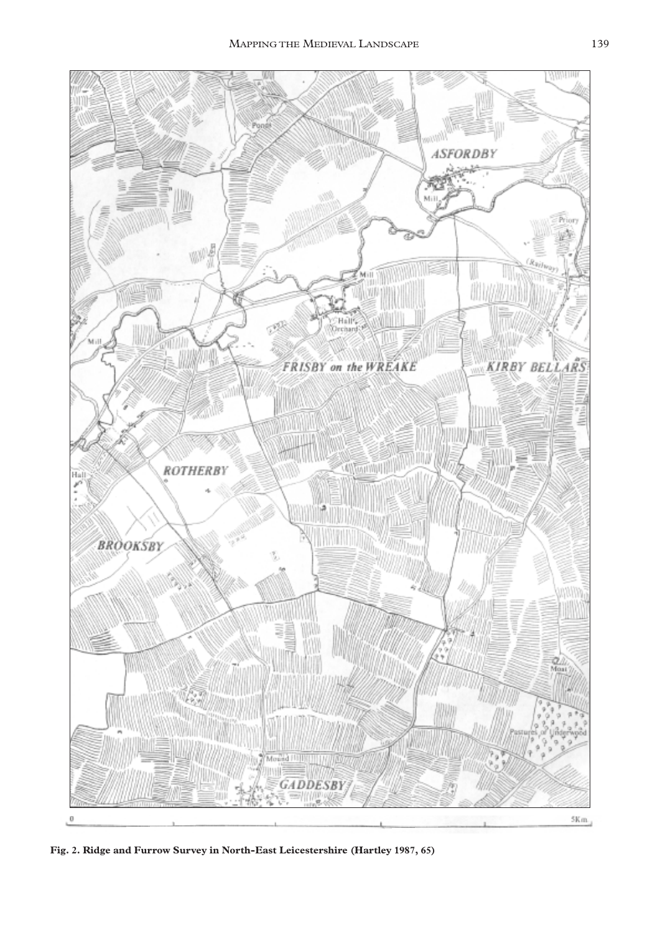

**Fig. 2. Ridge and Furrow Survey in North-East Leicestershire (Hartley 1987, 65)**